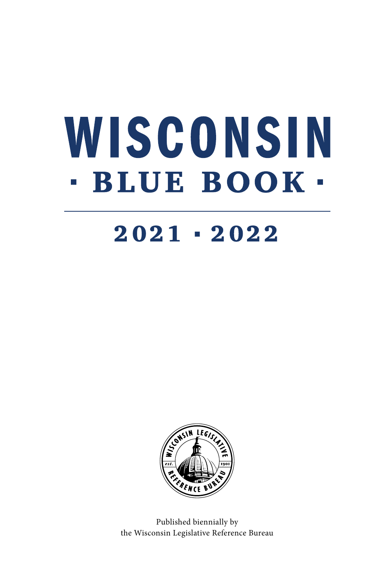# WISCONSIN · BLUE BOOK ·

## $2021 - 2022$



Published biennially by the Wisconsin Legislative Reference Bureau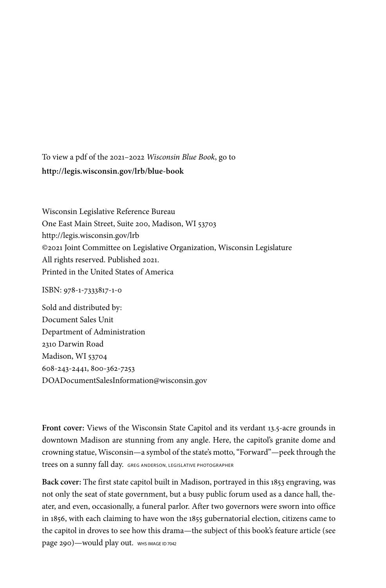To view a pdf of the 2021–2022 *Wisconsin Blue Book*, go to **http://legis.wisconsin.gov/lrb/blue-book**

Wisconsin Legislative Reference Bureau One East Main Street, Suite 200, Madison, WI 53703 http://legis.wisconsin.gov/lrb ©2021 Joint Committee on Legislative Organization, Wisconsin Legislature All rights reserved. Published 2021. Printed in the United States of America

ISBN: 978-1-7333817-1-0

Sold and distributed by: Document Sales Unit Department of Administration 2310 Darwin Road Madison, WI 53704 608-243-2441, 800-362-7253 DOADocumentSalesInformation@wisconsin.gov

**Front cover:** Views of the Wisconsin State Capitol and its verdant 13.5-acre grounds in downtown Madison are stunning from any angle. Here, the capitol's granite dome and crowning statue, Wisconsin—a symbol of the state's motto, "Forward"—peek through the trees on a sunny fall day. GREG ANDERSON, LEGISLATIVE PHOTOGRAPHER

**Back cover:** The first state capitol built in Madison, portrayed in this 1853 engraving, was not only the seat of state government, but a busy public forum used as a dance hall, theater, and even, occasionally, a funeral parlor. After two governors were sworn into office in 1856, with each claiming to have won the 1855 gubernatorial election, citizens came to the capitol in droves to see how this drama—the subject of this book's feature article (see page 290)—would play out. WHS IMAGE ID 7042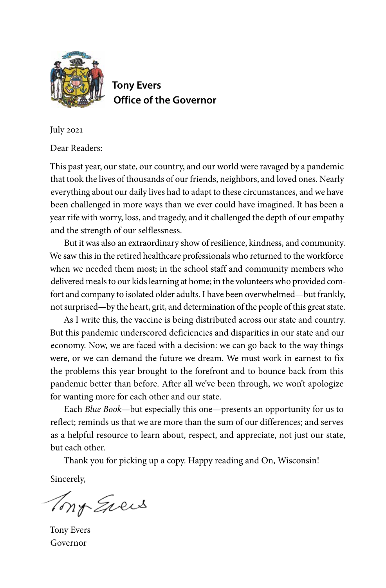

**Tony Evers Office of the Governor**

July 2021

Dear Readers:

This past year, our state, our country, and our world were ravaged by a pandemic that took the lives of thousands of our friends, neighbors, and loved ones. Nearly everything about our daily lives had to adapt to these circumstances, and we have been challenged in more ways than we ever could have imagined. It has been a year rife with worry, loss, and tragedy, and it challenged the depth of our empathy and the strength of our selflessness.

But it was also an extraordinary show of resilience, kindness, and community. We saw this in the retired healthcare professionals who returned to the workforce when we needed them most; in the school staff and community members who delivered meals to our kids learning at home; in the volunteers who provided comfort and company to isolated older adults. I have been overwhelmed—but frankly, not surprised—by the heart, grit, and determination of the people of this great state.

As I write this, the vaccine is being distributed across our state and country. But this pandemic underscored deficiencies and disparities in our state and our economy. Now, we are faced with a decision: we can go back to the way things were, or we can demand the future we dream. We must work in earnest to fix the problems this year brought to the forefront and to bounce back from this pandemic better than before. After all we've been through, we won't apologize for wanting more for each other and our state.

Each *Blue Book*—but especially this one—presents an opportunity for us to reflect; reminds us that we are more than the sum of our differences; and serves as a helpful resource to learn about, respect, and appreciate, not just our state, but each other.

Thank you for picking up a copy. Happy reading and On, Wisconsin!

Sincerely,

Tony Evens

Tony Evers Governor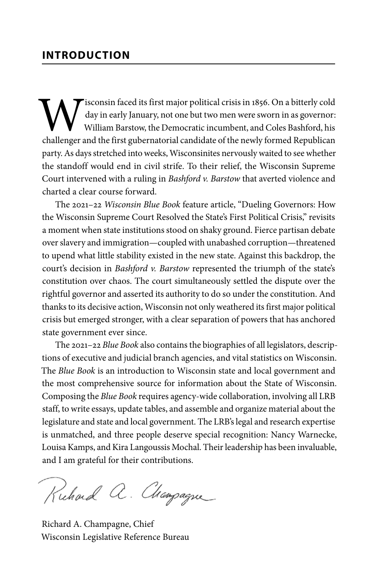Isconsin faced its first major political crisis in 1856. On a bitterly cold<br>day in early January, not one but two men were sworn in as governor:<br>William Barstow, the Democratic incumbent, and Coles Bashford, his<br>challenger day in early January, not one but two men were sworn in as governor: William Barstow, the Democratic incumbent, and Coles Bashford, his challenger and the first gubernatorial candidate of the newly formed Republican party. As days stretched into weeks, Wisconsinites nervously waited to see whether the standoff would end in civil strife. To their relief, the Wisconsin Supreme Court intervened with a ruling in *Bashford v. Barstow* that averted violence and charted a clear course forward.

The 2021–22 *Wisconsin Blue Book* feature article, "Dueling Governors: How the Wisconsin Supreme Court Resolved the State's First Political Crisis," revisits a moment when state institutions stood on shaky ground. Fierce partisan debate over slavery and immigration—coupled with unabashed corruption—threatened to upend what little stability existed in the new state. Against this backdrop, the court's decision in *Bashford v. Barstow* represented the triumph of the state's constitution over chaos. The court simultaneously settled the dispute over the rightful governor and asserted its authority to do so under the constitution. And thanks to its decisive action, Wisconsin not only weathered its first major political crisis but emerged stronger, with a clear separation of powers that has anchored state government ever since.

The 2021–22 *Blue Book* also contains the biographies of all legislators, descriptions of executive and judicial branch agencies, and vital statistics on Wisconsin. The *Blue Book* is an introduction to Wisconsin state and local government and the most comprehensive source for information about the State of Wisconsin. Composing the *Blue Book* requires agency-wide collaboration, involving all LRB staff, to write essays, update tables, and assemble and organize material about the legislature and state and local government. The LRB's legal and research expertise is unmatched, and three people deserve special recognition: Nancy Warnecke, Louisa Kamps, and Kira Langoussis Mochal. Their leadership has been invaluable, and I am grateful for their contributions.

Richard a. Champagne

Richard A. Champagne, Chief Wisconsin Legislative Reference Bureau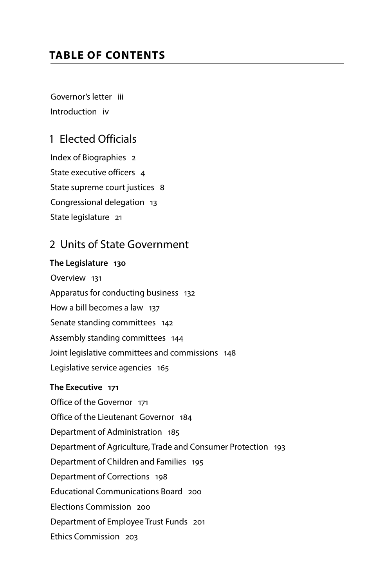### **TABLE OF CONTENTS**

Governor's letter iii Introduction iv

#### 1 Elected Officials

Index of Biographies 2 State executive officers 4 State supreme court justices 8 Congressional delegation 13 State legislature 21

#### 2 Units of State Government

**The Legislature 130** Overview 131 Apparatus for conducting business 132 How a bill becomes a law 137 Senate standing committees 142 Assembly standing committees 144 Joint legislative committees and commissions 148 Legislative service agencies 165

#### **The Executive 171**

Office of the Governor 171 Office of the Lieutenant Governor 184 Department of Administration 185 Department of Agriculture, Trade and Consumer Protection 193 Department of Children and Families 195 Department of Corrections 198 Educational Communications Board 200 Elections Commission 200 Department of Employee Trust Funds 201 Ethics Commission 203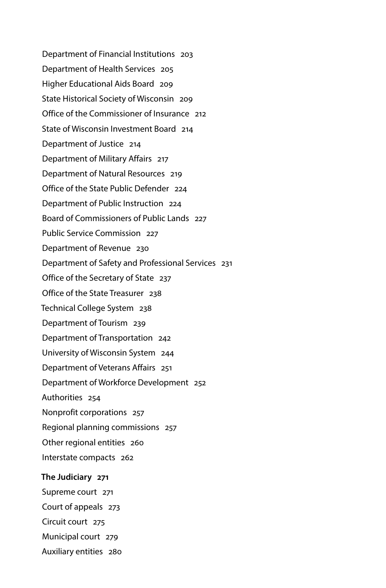Department of Financial Institutions 203 Department of Health Services 205 Higher Educational Aids Board 209 State Historical Society of Wisconsin 209 Office of the Commissioner of Insurance 212 State of Wisconsin Investment Board 214 Department of Justice 214 Department of Military Affairs 217 Department of Natural Resources 219 Office of the State Public Defender 224 Department of Public Instruction 224 Board of Commissioners of Public Lands 227 Public Service Commission 227 Department of Revenue 230 Department of Safety and Professional Services 231 Office of the Secretary of State 237 Office of the State Treasurer 238 Technical College System 238 Department of Tourism 239 Department of Transportation 242 University of Wisconsin System 244 Department of Veterans Affairs 251 Department of Workforce Development 252 Authorities 254 Nonprofit corporations 257 Regional planning commissions 257 Other regional entities 260 Interstate compacts 262 **The Judiciary 271** Supreme court 271 Court of appeals 273 Circuit court 275

Municipal court 279

Auxiliary entities 280